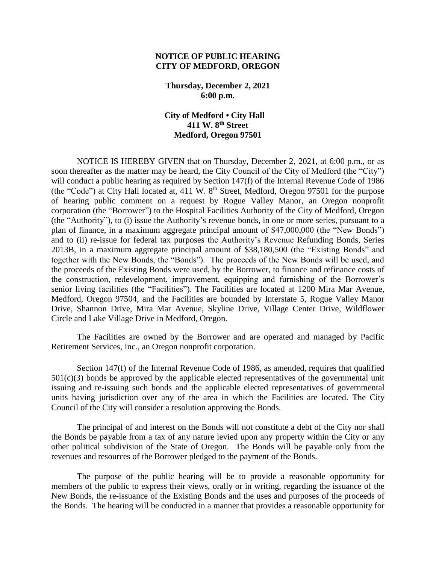## **NOTICE OF PUBLIC HEARING CITY OF MEDFORD, OREGON**

**Thursday, December 2, 2021 6:00 p.m.**

 **City of Medford • City Hall 411 W. 8th Street Medford, Oregon 97501**

NOTICE IS HEREBY GIVEN that on Thursday, December 2, 2021, at 6:00 p.m., or as soon thereafter as the matter may be heard, the City Council of the City of Medford (the "City") will conduct a public hearing as required by Section 147(f) of the Internal Revenue Code of 1986 (the "Code") at City Hall located at,  $411 \text{ W}$ .  $8^{\text{th}}$  Street, Medford, Oregon 97501 for the purpose of hearing public comment on a request by Rogue Valley Manor, an Oregon nonprofit corporation (the "Borrower") to the Hospital Facilities Authority of the City of Medford, Oregon (the "Authority"), to (i) issue the Authority's revenue bonds, in one or more series, pursuant to a plan of finance, in a maximum aggregate principal amount of \$47,000,000 (the "New Bonds") and to (ii) re-issue for federal tax purposes the Authority's Revenue Refunding Bonds, Series 2013B, in a maximum aggregate principal amount of \$38,180,500 (the "Existing Bonds" and together with the New Bonds, the "Bonds"). The proceeds of the New Bonds will be used, and the proceeds of the Existing Bonds were used, by the Borrower, to finance and refinance costs of the construction, redevelopment, improvement, equipping and furnishing of the Borrower's senior living facilities (the "Facilities"). The Facilities are located at 1200 Mira Mar Avenue, Medford, Oregon 97504, and the Facilities are bounded by Interstate 5, Rogue Valley Manor Drive, Shannon Drive, Mira Mar Avenue, Skyline Drive, Village Center Drive, Wildflower Circle and Lake Village Drive in Medford, Oregon.

The Facilities are owned by the Borrower and are operated and managed by Pacific Retirement Services, Inc., an Oregon nonprofit corporation.

Section 147(f) of the Internal Revenue Code of 1986, as amended, requires that qualified  $501(c)(3)$  bonds be approved by the applicable elected representatives of the governmental unit issuing and re-issuing such bonds and the applicable elected representatives of governmental units having jurisdiction over any of the area in which the Facilities are located. The City Council of the City will consider a resolution approving the Bonds.

The principal of and interest on the Bonds will not constitute a debt of the City nor shall the Bonds be payable from a tax of any nature levied upon any property within the City or any other political subdivision of the State of Oregon. The Bonds will be payable only from the revenues and resources of the Borrower pledged to the payment of the Bonds.

The purpose of the public hearing will be to provide a reasonable opportunity for members of the public to express their views, orally or in writing, regarding the issuance of the New Bonds, the re-issuance of the Existing Bonds and the uses and purposes of the proceeds of the Bonds. The hearing will be conducted in a manner that provides a reasonable opportunity for